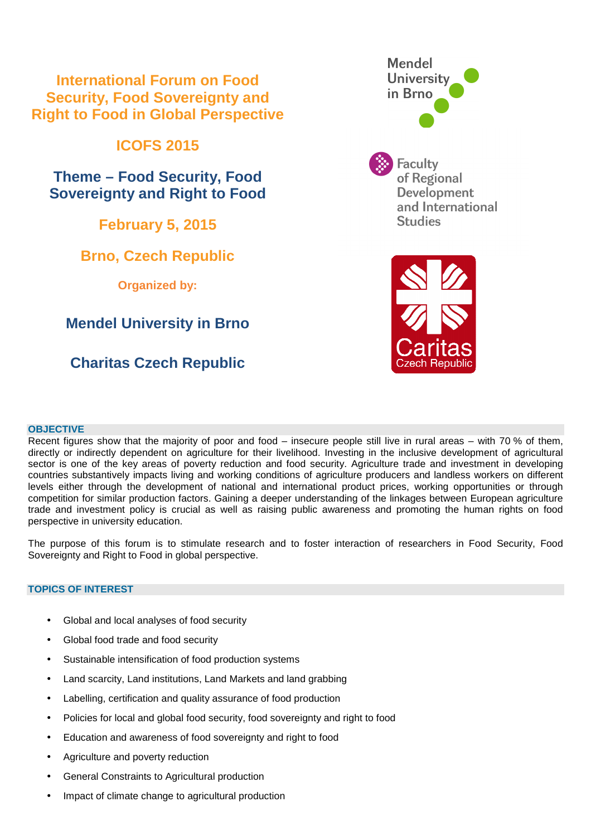### **International Forum on Food Security, Food Sovereignty and Right to Food in Global Perspective**

## **ICOFS 2015**

**Theme – Food Security, Food Sovereignty and Right to Food** 

**February 5, 2015** 

## **Brno, Czech Republic**

**Organized by:** 

## **Mendel University in Brno**

# **Charitas Czech Republic**





### **OBJECTIVE**

Recent figures show that the majority of poor and food – insecure people still live in rural areas – with 70 % of them, directly or indirectly dependent on agriculture for their livelihood. Investing in the inclusive development of agricultural sector is one of the key areas of poverty reduction and food security. Agriculture trade and investment in developing countries substantively impacts living and working conditions of agriculture producers and landless workers on different levels either through the development of national and international product prices, working opportunities or through competition for similar production factors. Gaining a deeper understanding of the linkages between European agriculture trade and investment policy is crucial as well as raising public awareness and promoting the human rights on food perspective in university education.

The purpose of this forum is to stimulate research and to foster interaction of researchers in Food Security, Food Sovereignty and Right to Food in global perspective.

### **TOPICS OF INTEREST**

- Global and local analyses of food security
- Global food trade and food security
- Sustainable intensification of food production systems
- Land scarcity, Land institutions, Land Markets and land grabbing
- Labelling, certification and quality assurance of food production
- Policies for local and global food security, food sovereignty and right to food
- Education and awareness of food sovereignty and right to food
- Agriculture and poverty reduction
- General Constraints to Agricultural production
- Impact of climate change to agricultural production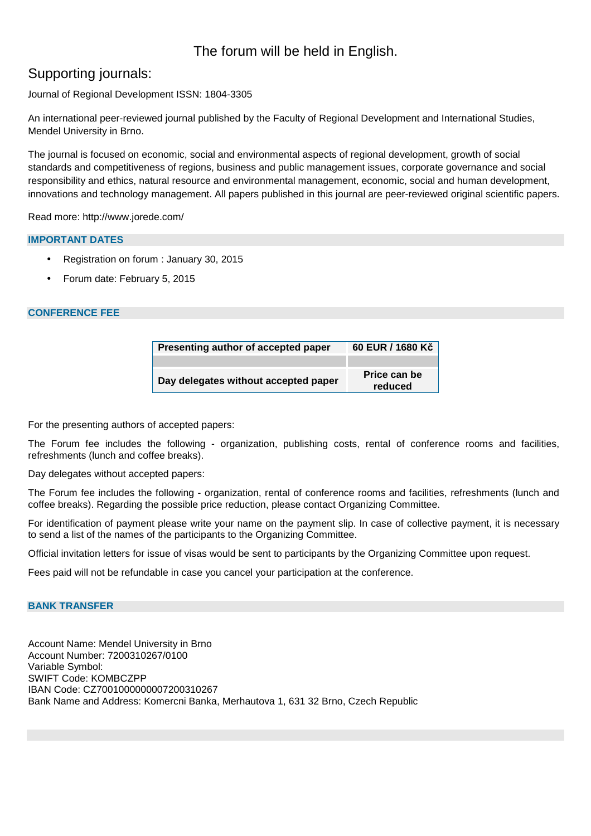### The forum will be held in English.

### Supporting journals:

Journal of Regional Development ISSN: 1804-3305

An international peer-reviewed journal published by the Faculty of Regional Development and International Studies, Mendel University in Brno.

The journal is focused on economic, social and environmental aspects of regional development, growth of social standards and competitiveness of regions, business and public management issues, corporate governance and social responsibility and ethics, natural resource and environmental management, economic, social and human development, innovations and technology management. All papers published in this journal are peer-reviewed original scientific papers.

Read more: http://www.jorede.com/

#### **IMPORTANT DATES**

- Registration on forum : January 30, 2015
- Forum date: February 5, 2015

#### **CONFERENCE FEE**

| Presenting author of accepted paper  | 60 EUR / 1680 Kč        |
|--------------------------------------|-------------------------|
|                                      |                         |
| Day delegates without accepted paper | Price can be<br>reduced |

For the presenting authors of accepted papers:

The Forum fee includes the following - organization, publishing costs, rental of conference rooms and facilities, refreshments (lunch and coffee breaks).

Day delegates without accepted papers:

The Forum fee includes the following - organization, rental of conference rooms and facilities, refreshments (lunch and coffee breaks). Regarding the possible price reduction, please contact Organizing Committee.

For identification of payment please write your name on the payment slip. In case of collective payment, it is necessary to send a list of the names of the participants to the Organizing Committee.

Official invitation letters for issue of visas would be sent to participants by the Organizing Committee upon request.

Fees paid will not be refundable in case you cancel your participation at the conference.

#### **BANK TRANSFER**

Account Name: Mendel University in Brno Account Number: 7200310267/0100 Variable Symbol: SWIFT Code: KOMBCZPP IBAN Code: CZ7001000000007200310267 Bank Name and Address: Komercni Banka, Merhautova 1, 631 32 Brno, Czech Republic